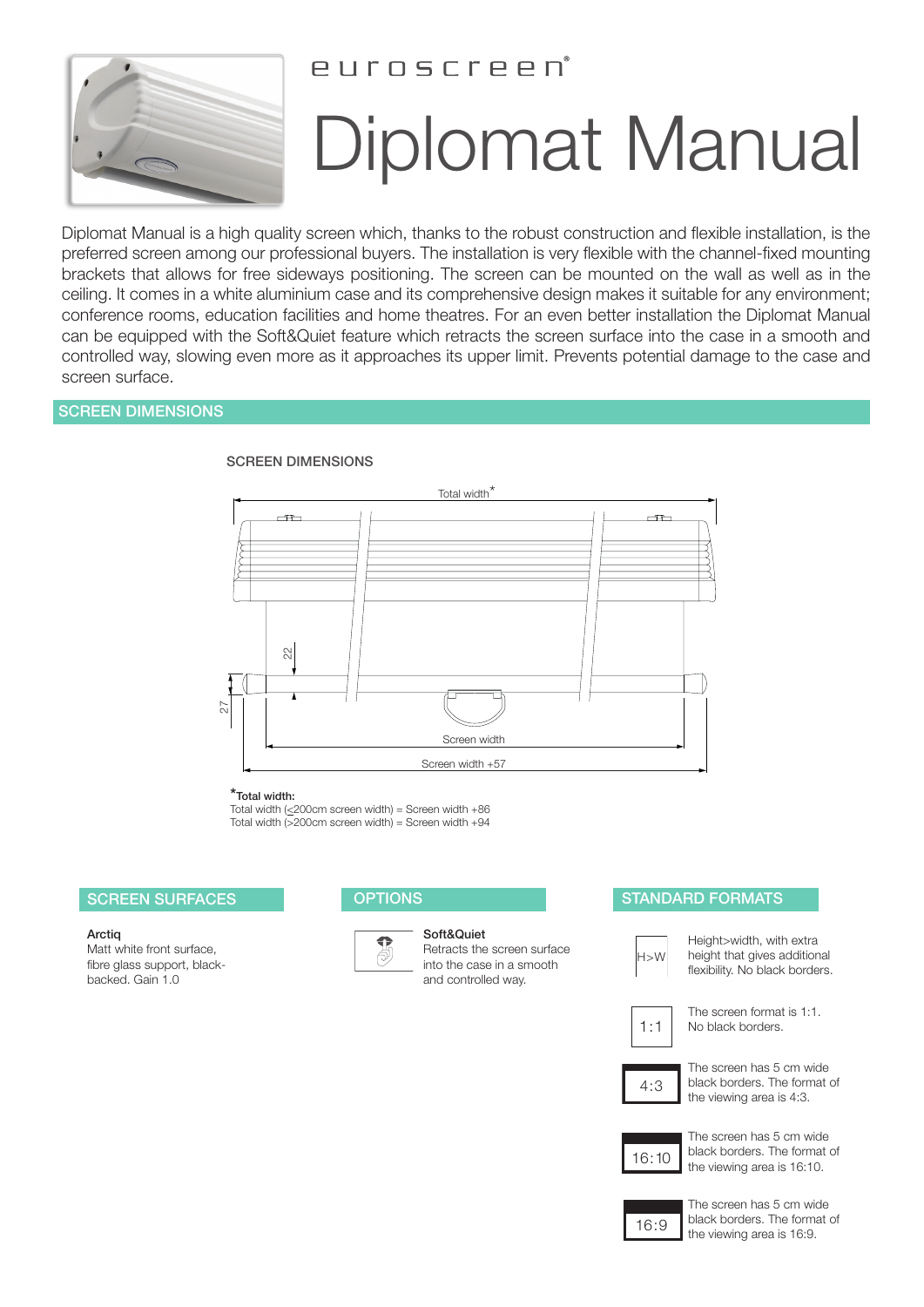

# PUINSCIPPD

# Diplomat Manual

Diplomat Manual is a high quality screen which, thanks to the robust construction and flexible installation, is the preferred screen among our professional buyers. The installation is very flexible with the channel-fixed mounting brackets that allows for free sideways positioning. The screen can be mounted on the wall as well as in the ceiling. It comes in a white aluminium case and its comprehensive design makes it suitable for any environment; conference rooms, education facilities and home theatres. For an even better installation the Diplomat Manual can be equipped with the Soft&Quiet feature which retracts the screen surface into the case in a smooth and controlled way, slowing even more as it approaches its upper limit. Prevents potential damage to the case and screen surface.

# SCREEN DIMENSIONS



### SCREEN DIMENSIONS

\*Total width:

Total width  $(\leq 200 \text{cm}$  screen width) = Screen width +86 Total width  $(>200$ cm screen width) = Screen width +94

#### **Arctig**

Matt white front surface, fibre glass support, blackbacked. Gain 1.0



Soft&Quiet

Retracts the screen surface into the case in a smooth and controlled way.

## SCREEN SURFACES OPTIONS OPTIONS STANDARD FORMATS



Height>width, with extra height that gives additional flexibility. No black borders.

 $1:1$ 

The screen format is 1:1. No black borders.

 $4:3$ 

The screen has 5 cm wide black borders. The format of the viewing area is 4:3.



The screen has 5 cm wide black borders. The format of the viewing area is 16:10.



The screen has 5 cm wide black borders. The format of the viewing area is 16:9.